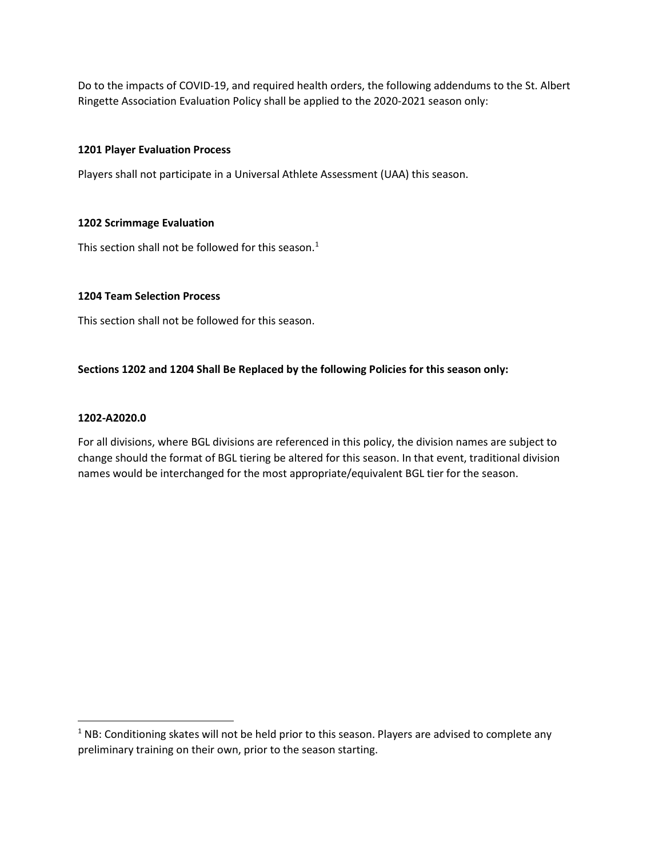Do to the impacts of COVID-19, and required health orders, the following addendums to the St. Albert Ringette Association Evaluation Policy shall be applied to the 2020-2021 season only:

# 1201 Player Evaluation Process

Players shall not participate in a Universal Athlete Assessment (UAA) this season.

# 1202 Scrimmage Evaluation

This section shall not be followed for this season. $<sup>1</sup>$ </sup>

## 1204 Team Selection Process

This section shall not be followed for this season.

# Sections 1202 and 1204 Shall Be Replaced by the following Policies for this season only:

## 1202-A2020.0

For all divisions, where BGL divisions are referenced in this policy, the division names are subject to change should the format of BGL tiering be altered for this season. In that event, traditional division names would be interchanged for the most appropriate/equivalent BGL tier for the season.

 $<sup>1</sup>$  NB: Conditioning skates will not be held prior to this season. Players are advised to complete any</sup> preliminary training on their own, prior to the season starting.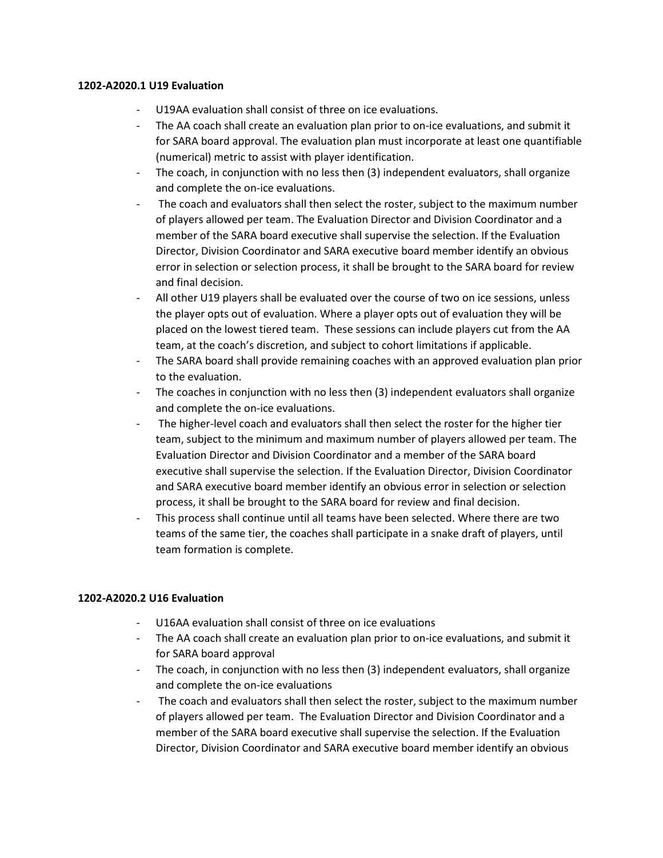### 1202-A2020.1 U19 Evaluation

- U19AA evaluation shall consist of three on ice evaluations.
- The AA coach shall create an evaluation plan prior to on-ice evaluations, and submit it for SARA board approval. The evaluation plan must incorporate at least one quantifiable (numerical) metric to assist with player identification.
- The coach, in conjunction with no less then (3) independent evaluators, shall organize and complete the on-ice evaluations.
- The coach and evaluators shall then select the roster, subject to the maximum number of players allowed per team. The Evaluation Director and Division Coordinator and a member of the SARA board executive shall supervise the selection. If the Evaluation Director, Division Coordinator and SARA executive board member identify an obvious error in selection or selection process, it shall be brought to the SARA board for review and final decision.
- All other U19 players shall be evaluated over the course of two on ice sessions, unless the player opts out of evaluation. Where a player opts out of evaluation they will be placed on the lowest tiered team. These sessions can include players cut from the AA team, at the coach's discretion, and subject to cohort limitations if applicable.
- The SARA board shall provide remaining coaches with an approved evaluation plan prior to the evaluation.
- The coaches in conjunction with no less then (3) independent evaluators shall organize and complete the on-ice evaluations.
- The higher-level coach and evaluators shall then select the roster for the higher tier team, subject to the minimum and maximum number of players allowed per team. The Evaluation Director and Division Coordinator and a member of the SARA board executive shall supervise the selection. If the Evaluation Director, Division Coordinator and SARA executive board member identify an obvious error in selection or selection process, it shall be brought to the SARA board for review and final decision.
- This process shall continue until all teams have been selected. Where there are two teams of the same tier, the coaches shall participate in a snake draft of players, until team formation is complete.

# 1202-A2020.2 U16 Evaluation

- U16AA evaluation shall consist of three on ice evaluations
- The AA coach shall create an evaluation plan prior to on-ice evaluations, and submit it for SARA board approval
- The coach, in conjunction with no less then (3) independent evaluators, shall organize and complete the on-ice evaluations
- The coach and evaluators shall then select the roster, subject to the maximum number of players allowed per team. The Evaluation Director and Division Coordinator and a member of the SARA board executive shall supervise the selection. If the Evaluation Director, Division Coordinator and SARA executive board member identify an obvious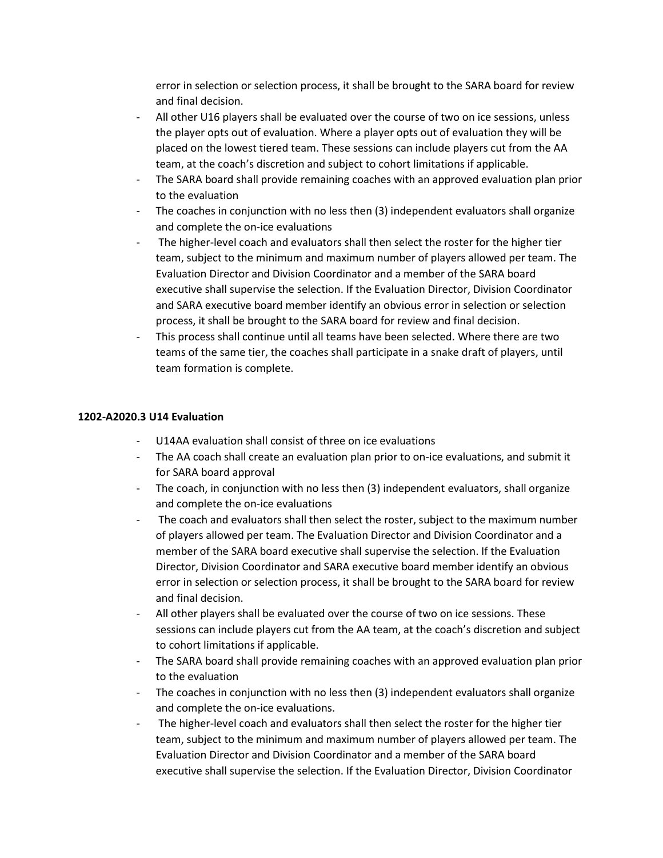error in selection or selection process, it shall be brought to the SARA board for review and final decision.

- All other U16 players shall be evaluated over the course of two on ice sessions, unless the player opts out of evaluation. Where a player opts out of evaluation they will be placed on the lowest tiered team. These sessions can include players cut from the AA team, at the coach's discretion and subject to cohort limitations if applicable.
- The SARA board shall provide remaining coaches with an approved evaluation plan prior to the evaluation
- The coaches in conjunction with no less then (3) independent evaluators shall organize and complete the on-ice evaluations
- The higher-level coach and evaluators shall then select the roster for the higher tier team, subject to the minimum and maximum number of players allowed per team. The Evaluation Director and Division Coordinator and a member of the SARA board executive shall supervise the selection. If the Evaluation Director, Division Coordinator and SARA executive board member identify an obvious error in selection or selection process, it shall be brought to the SARA board for review and final decision.
- This process shall continue until all teams have been selected. Where there are two teams of the same tier, the coaches shall participate in a snake draft of players, until team formation is complete.

# 1202-A2020.3 U14 Evaluation

- U14AA evaluation shall consist of three on ice evaluations
- The AA coach shall create an evaluation plan prior to on-ice evaluations, and submit it for SARA board approval
- The coach, in conjunction with no less then (3) independent evaluators, shall organize and complete the on-ice evaluations
- The coach and evaluators shall then select the roster, subject to the maximum number of players allowed per team. The Evaluation Director and Division Coordinator and a member of the SARA board executive shall supervise the selection. If the Evaluation Director, Division Coordinator and SARA executive board member identify an obvious error in selection or selection process, it shall be brought to the SARA board for review and final decision.
- All other players shall be evaluated over the course of two on ice sessions. These sessions can include players cut from the AA team, at the coach's discretion and subject to cohort limitations if applicable.
- The SARA board shall provide remaining coaches with an approved evaluation plan prior to the evaluation
- The coaches in conjunction with no less then (3) independent evaluators shall organize and complete the on-ice evaluations.
- The higher-level coach and evaluators shall then select the roster for the higher tier team, subject to the minimum and maximum number of players allowed per team. The Evaluation Director and Division Coordinator and a member of the SARA board executive shall supervise the selection. If the Evaluation Director, Division Coordinator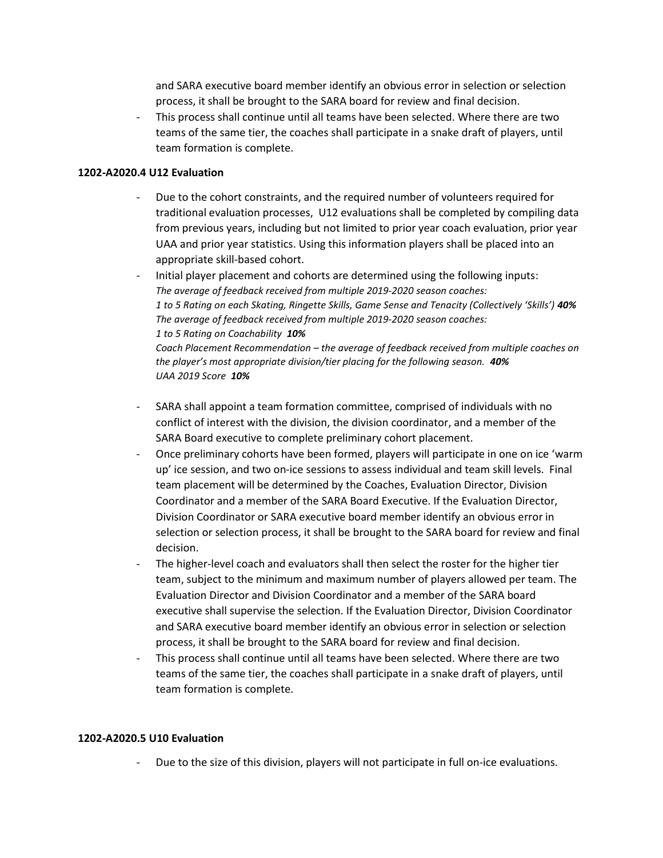and SARA executive board member identify an obvious error in selection or selection process, it shall be brought to the SARA board for review and final decision.

- This process shall continue until all teams have been selected. Where there are two teams of the same tier, the coaches shall participate in a snake draft of players, until team formation is complete.

## 1202-A2020.4 U12 Evaluation

- Due to the cohort constraints, and the required number of volunteers required for traditional evaluation processes, U12 evaluations shall be completed by compiling data from previous years, including but not limited to prior year coach evaluation, prior year UAA and prior year statistics. Using this information players shall be placed into an appropriate skill-based cohort.
- Initial player placement and cohorts are determined using the following inputs: The average of feedback received from multiple 2019-2020 season coaches: 1 to 5 Rating on each Skating, Ringette Skills, Game Sense and Tenacity (Collectively 'Skills') 40% The average of feedback received from multiple 2019-2020 season coaches: 1 to 5 Rating on Coachability 10% Coach Placement Recommendation – the average of feedback received from multiple coaches on the player's most appropriate division/tier placing for the following season. 40% UAA 2019 Score 10%
- SARA shall appoint a team formation committee, comprised of individuals with no conflict of interest with the division, the division coordinator, and a member of the SARA Board executive to complete preliminary cohort placement.
- Once preliminary cohorts have been formed, players will participate in one on ice 'warm up' ice session, and two on-ice sessions to assess individual and team skill levels. Final team placement will be determined by the Coaches, Evaluation Director, Division Coordinator and a member of the SARA Board Executive. If the Evaluation Director, Division Coordinator or SARA executive board member identify an obvious error in selection or selection process, it shall be brought to the SARA board for review and final decision.
- The higher-level coach and evaluators shall then select the roster for the higher tier team, subject to the minimum and maximum number of players allowed per team. The Evaluation Director and Division Coordinator and a member of the SARA board executive shall supervise the selection. If the Evaluation Director, Division Coordinator and SARA executive board member identify an obvious error in selection or selection process, it shall be brought to the SARA board for review and final decision.
- This process shall continue until all teams have been selected. Where there are two teams of the same tier, the coaches shall participate in a snake draft of players, until team formation is complete.

#### 1202-A2020.5 U10 Evaluation

Due to the size of this division, players will not participate in full on-ice evaluations.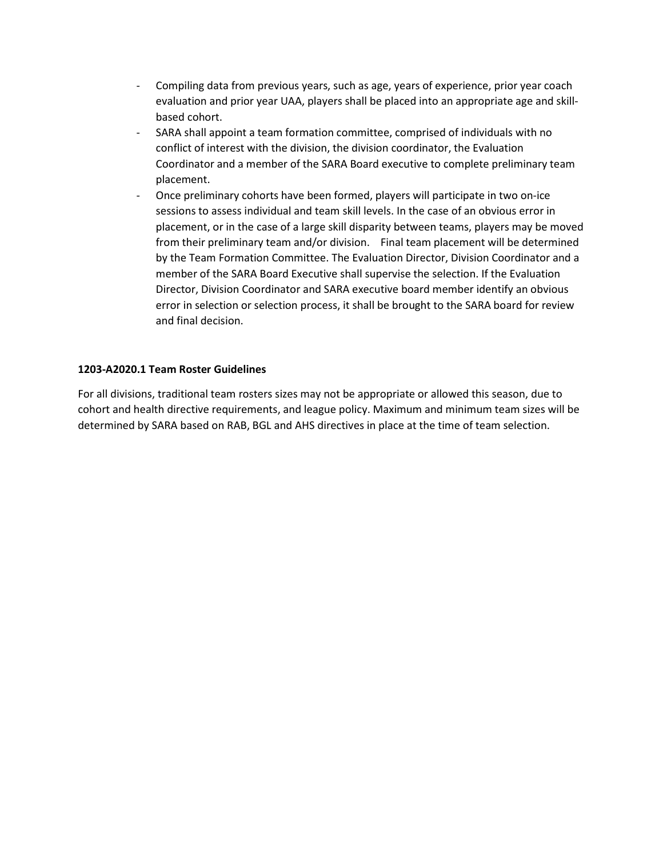- Compiling data from previous years, such as age, years of experience, prior year coach evaluation and prior year UAA, players shall be placed into an appropriate age and skillbased cohort.
- SARA shall appoint a team formation committee, comprised of individuals with no conflict of interest with the division, the division coordinator, the Evaluation Coordinator and a member of the SARA Board executive to complete preliminary team placement.
- Once preliminary cohorts have been formed, players will participate in two on-ice sessions to assess individual and team skill levels. In the case of an obvious error in placement, or in the case of a large skill disparity between teams, players may be moved from their preliminary team and/or division. Final team placement will be determined by the Team Formation Committee. The Evaluation Director, Division Coordinator and a member of the SARA Board Executive shall supervise the selection. If the Evaluation Director, Division Coordinator and SARA executive board member identify an obvious error in selection or selection process, it shall be brought to the SARA board for review and final decision.

# 1203-A2020.1 Team Roster Guidelines

For all divisions, traditional team rosters sizes may not be appropriate or allowed this season, due to cohort and health directive requirements, and league policy. Maximum and minimum team sizes will be determined by SARA based on RAB, BGL and AHS directives in place at the time of team selection.